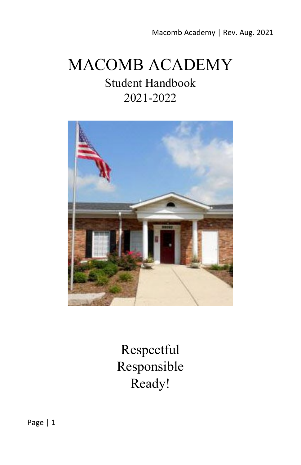Macomb Academy | Rev. Aug. 2021

# MACOMB ACADEMY

# Student Handbook 2021-2022



Respectful Responsible Ready!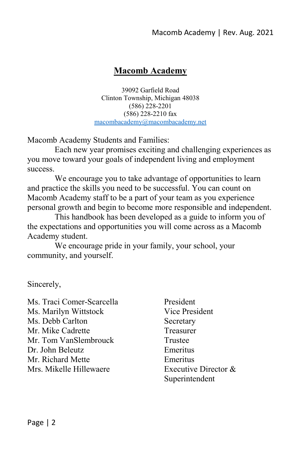#### **Macomb Academy**

39092 Garfield Road Clinton Township, Michigan 48038 (586) 228-2201 (586) 228-2210 fax [macombacademy@macombacademy.net](mailto:macombacademy@macombacademy.net)

Macomb Academy Students and Families:

Each new year promises exciting and challenging experiences as you move toward your goals of independent living and employment success.

We encourage you to take advantage of opportunities to learn and practice the skills you need to be successful. You can count on Macomb Academy staff to be a part of your team as you experience personal growth and begin to become more responsible and independent.

This handbook has been developed as a guide to inform you of the expectations and opportunities you will come across as a Macomb Academy student.

We encourage pride in your family, your school, your community, and yourself.

Sincerely,

Ms. Traci Comer-Scarcella President Ms. Marilyn Wittstock Vice President Ms. Debb Carlton Secretary Mr. Mike Cadrette Treasurer Mr. Tom VanSlembrouck Trustee Dr. John Beleutz Emeritus Mr. Richard Mette Emeritus Mrs. Mikelle Hillewaere  $\qquad \qquad$  Executive Director  $\&$ 

Superintendent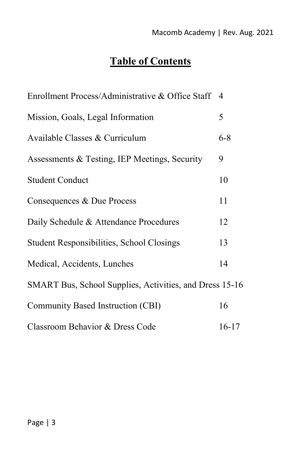# **Table of Contents**

| Enrollment Process/Administrative & Office Staff 4      |         |
|---------------------------------------------------------|---------|
| Mission, Goals, Legal Information                       | 5       |
| Available Classes & Curriculum                          | $6 - 8$ |
| Assessments & Testing, IEP Meetings, Security           | 9       |
| <b>Student Conduct</b>                                  | 10      |
| Consequences & Due Process                              | 11      |
| Daily Schedule & Attendance Procedures                  | 12      |
| <b>Student Responsibilities, School Closings</b>        | 13      |
| Medical, Accidents, Lunches                             | 14      |
| SMART Bus, School Supplies, Activities, and Dress 15-16 |         |
| Community Based Instruction (CBI)                       | 16      |
| Classroom Behavior & Dress Code                         | $16-17$ |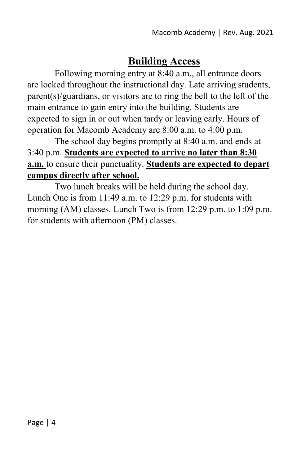# **Building Access**

Following morning entry at 8:40 a.m., all entrance doors are locked throughout the instructional day. Late arriving students, parent(s)/guardians, or visitors are to ring the bell to the left of the main entrance to gain entry into the building. Students are expected to sign in or out when tardy or leaving early. Hours of operation for Macomb Academy are 8:00 a.m. to 4:00 p.m.

The school day begins promptly at 8:40 a.m. and ends at 3:40 p.m. **Students are expected to arrive no later than 8:30 a.m.** to ensure their punctuality. **Students are expected to depart campus directly after school.**

Two lunch breaks will be held during the school day. Lunch One is from 11:49 a.m. to 12:29 p.m. for students with morning (AM) classes. Lunch Two is from 12:29 p.m. to 1:09 p.m. for students with afternoon (PM) classes.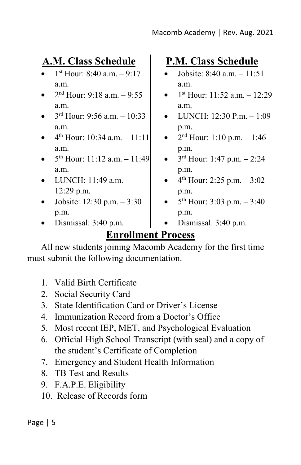# **A.M. Class Schedule**

- $1<sup>st</sup>$  Hour: 8:40 a.m.  $-9:17$ a.m.
- $2<sup>nd</sup>$  Hour: 9:18 a.m.  $-$  9:55 a.m.
- $3^{rd}$  Hour: 9:56 a.m.  $-10:33$ a.m.
- $4^{th}$  Hour: 10:34 a.m.  $-11:11$ a.m.
- 5th Hour: 11:12 a.m. 11:49 a.m.
- LUNCH: 11:49 a.m. 12:29 p.m.
- Jobsite:  $12:30$  p.m.  $-3:30$ p.m.
- Dismissal: 3:40 p.m.

# **P.M. Class Schedule**

- Jobsite: 8:40 a.m. 11:51 a.m.
- $1^{st}$  Hour: 11:52 a.m.  $-12:29$ a.m.
- LUNCH:  $12:30$  P.m.  $-1:09$ p.m.
- $2<sup>nd</sup>$  Hour: 1:10 p.m. 1:46 p.m.
- $3<sup>rd</sup>$  Hour: 1:47 p.m.  $2:24$ p.m.
- $4<sup>th</sup>$  Hour: 2:25 p.m.  $-3:02$ p.m.
- $5<sup>th</sup>$  Hour: 3:03 p.m.  $-3:40$ p.m.
- Dismissal: 3:40 p.m.

# **Enrollment Process**

All new students joining Macomb Academy for the first time must submit the following documentation.

- 1. Valid Birth Certificate
- 2. Social Security Card
- 3. State Identification Card or Driver's License
- 4. Immunization Record from a Doctor's Office
- 5. Most recent IEP, MET, and Psychological Evaluation
- 6. Official High School Transcript (with seal) and a copy of the student's Certificate of Completion
- 7. Emergency and Student Health Information
- 8. TB Test and Results
- 9. F.A.P.E. Eligibility
- 10. Release of Records form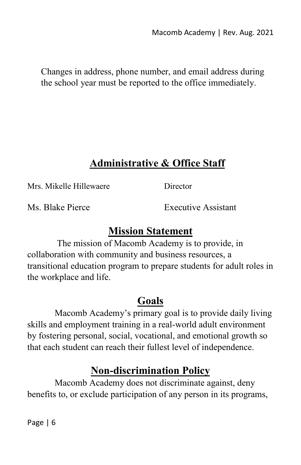Changes in address, phone number, and email address during the school year must be reported to the office immediately.

# **Administrative & Office Staff**

Mrs. Mikelle Hillewaere Director

Ms. Blake Pierce **Executive Assistant** 

# **Mission Statement**

The mission of Macomb Academy is to provide, in collaboration with community and business resources, a transitional education program to prepare students for adult roles in the workplace and life.

# **Goals**

Macomb Academy's primary goal is to provide daily living skills and employment training in a real-world adult environment by fostering personal, social, vocational, and emotional growth so that each student can reach their fullest level of independence.

# **Non-discrimination Policy**

Macomb Academy does not discriminate against, deny benefits to, or exclude participation of any person in its programs,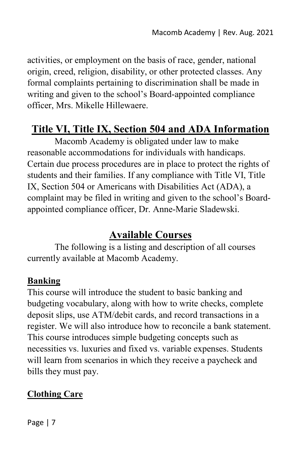activities, or employment on the basis of race, gender, national origin, creed, religion, disability, or other protected classes. Any formal complaints pertaining to discrimination shall be made in writing and given to the school's Board-appointed compliance officer, Mrs. Mikelle Hillewaere.

# **Title VI, Title IX, Section 504 and ADA Information**

Macomb Academy is obligated under law to make reasonable accommodations for individuals with handicaps. Certain due process procedures are in place to protect the rights of students and their families. If any compliance with Title VI, Title IX, Section 504 or Americans with Disabilities Act (ADA), a complaint may be filed in writing and given to the school's Boardappointed compliance officer, Dr. Anne-Marie Sladewski.

### **Available Courses**

The following is a listing and description of all courses currently available at Macomb Academy.

#### **Banking**

This course will introduce the student to basic banking and budgeting vocabulary, along with how to write checks, complete deposit slips, use ATM/debit cards, and record transactions in a register. We will also introduce how to reconcile a bank statement. This course introduces simple budgeting concepts such as necessities vs. luxuries and fixed vs. variable expenses. Students will learn from scenarios in which they receive a paycheck and bills they must pay.

#### **Clothing Care**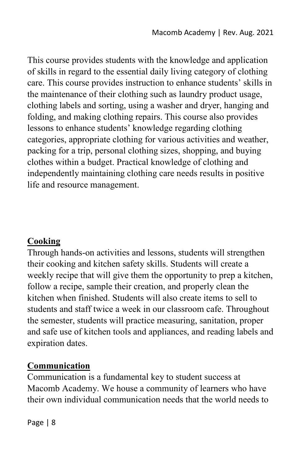This course provides students with the knowledge and application of skills in regard to the essential daily living category of clothing care. This course provides instruction to enhance students' skills in the maintenance of their clothing such as laundry product usage, clothing labels and sorting, using a washer and dryer, hanging and folding, and making clothing repairs. This course also provides lessons to enhance students' knowledge regarding clothing categories, appropriate clothing for various activities and weather, packing for a trip, personal clothing sizes, shopping, and buying clothes within a budget. Practical knowledge of clothing and independently maintaining clothing care needs results in positive life and resource management.

#### **Cooking**

Through hands-on activities and lessons, students will strengthen their cooking and kitchen safety skills. Students will create a weekly recipe that will give them the opportunity to prep a kitchen, follow a recipe, sample their creation, and properly clean the kitchen when finished. Students will also create items to sell to students and staff twice a week in our classroom cafe. Throughout the semester, students will practice measuring, sanitation, proper and safe use of kitchen tools and appliances, and reading labels and expiration dates.

#### **Communication**

Communication is a fundamental key to student success at Macomb Academy. We house a community of learners who have their own individual communication needs that the world needs to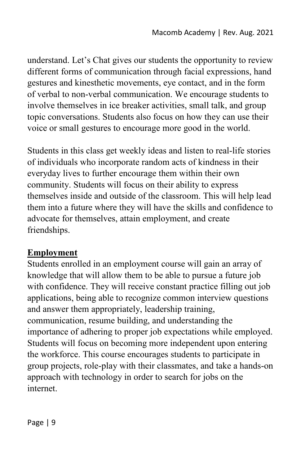understand. Let's Chat gives our students the opportunity to review different forms of communication through facial expressions, hand gestures and kinesthetic movements, eye contact, and in the form of verbal to non-verbal communication. We encourage students to involve themselves in ice breaker activities, small talk, and group topic conversations. Students also focus on how they can use their voice or small gestures to encourage more good in the world.

Students in this class get weekly ideas and listen to real-life stories of individuals who incorporate random acts of kindness in their everyday lives to further encourage them within their own community. Students will focus on their ability to express themselves inside and outside of the classroom. This will help lead them into a future where they will have the skills and confidence to advocate for themselves, attain employment, and create friendships.

#### **Employment**

Students enrolled in an employment course will gain an array of knowledge that will allow them to be able to pursue a future job with confidence. They will receive constant practice filling out job applications, being able to recognize common interview questions and answer them appropriately, leadership training, communication, resume building, and understanding the importance of adhering to proper job expectations while employed. Students will focus on becoming more independent upon entering the workforce. This course encourages students to participate in group projects, role-play with their classmates, and take a hands-on approach with technology in order to search for jobs on the internet.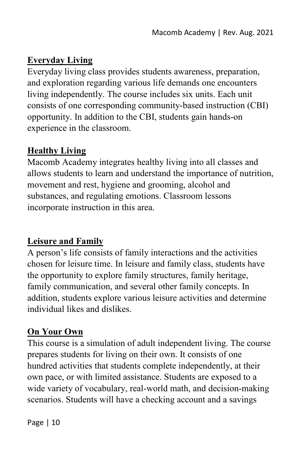### **Everyday Living**

Everyday living class provides students awareness, preparation, and exploration regarding various life demands one encounters living independently. The course includes six units. Each unit consists of one corresponding community-based instruction (CBI) opportunity. In addition to the CBI, students gain hands-on experience in the classroom.

# **Healthy Living**

Macomb Academy integrates healthy living into all classes and allows students to learn and understand the importance of nutrition, movement and rest, hygiene and grooming, alcohol and substances, and regulating emotions. Classroom lessons incorporate instruction in this area.

### **Leisure and Family**

A person's life consists of family interactions and the activities chosen for leisure time. In leisure and family class, students have the opportunity to explore family structures, family heritage, family communication, and several other family concepts. In addition, students explore various leisure activities and determine individual likes and dislikes.

# **On Your Own**

This course is a simulation of adult independent living. The course prepares students for living on their own. It consists of one hundred activities that students complete independently, at their own pace, or with limited assistance. Students are exposed to a wide variety of vocabulary, real-world math, and decision-making scenarios. Students will have a checking account and a savings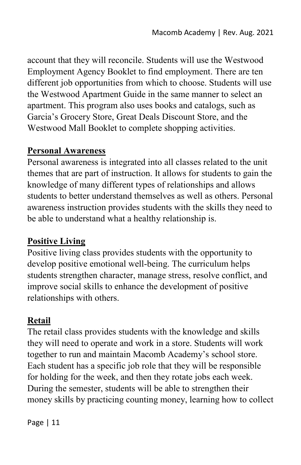account that they will reconcile. Students will use the Westwood Employment Agency Booklet to find employment. There are ten different job opportunities from which to choose. Students will use the Westwood Apartment Guide in the same manner to select an apartment. This program also uses books and catalogs, such as Garcia's Grocery Store, Great Deals Discount Store, and the Westwood Mall Booklet to complete shopping activities.

#### **Personal Awareness**

Personal awareness is integrated into all classes related to the unit themes that are part of instruction. It allows for students to gain the knowledge of many different types of relationships and allows students to better understand themselves as well as others. Personal awareness instruction provides students with the skills they need to be able to understand what a healthy relationship is.

#### **Positive Living**

Positive living class provides students with the opportunity to develop positive emotional well-being. The curriculum helps students strengthen character, manage stress, resolve conflict, and improve social skills to enhance the development of positive relationships with others.

#### **Retail**

The retail class provides students with the knowledge and skills they will need to operate and work in a store. Students will work together to run and maintain Macomb Academy's school store. Each student has a specific job role that they will be responsible for holding for the week, and then they rotate jobs each week. During the semester, students will be able to strengthen their money skills by practicing counting money, learning how to collect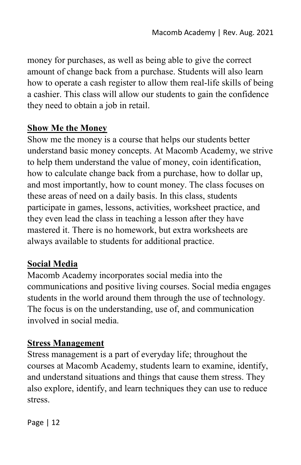money for purchases, as well as being able to give the correct amount of change back from a purchase. Students will also learn how to operate a cash register to allow them real-life skills of being a cashier. This class will allow our students to gain the confidence they need to obtain a job in retail.

#### **Show Me the Money**

Show me the money is a course that helps our students better understand basic money concepts. At Macomb Academy, we strive to help them understand the value of money, coin identification, how to calculate change back from a purchase, how to dollar up, and most importantly, how to count money. The class focuses on these areas of need on a daily basis. In this class, students participate in games, lessons, activities, worksheet practice, and they even lead the class in teaching a lesson after they have mastered it. There is no homework, but extra worksheets are always available to students for additional practice.

#### **Social Media**

Macomb Academy incorporates social media into the communications and positive living courses. Social media engages students in the world around them through the use of technology. The focus is on the understanding, use of, and communication involved in social media.

#### **Stress Management**

Stress management is a part of everyday life; throughout the courses at Macomb Academy, students learn to examine, identify, and understand situations and things that cause them stress. They also explore, identify, and learn techniques they can use to reduce stress.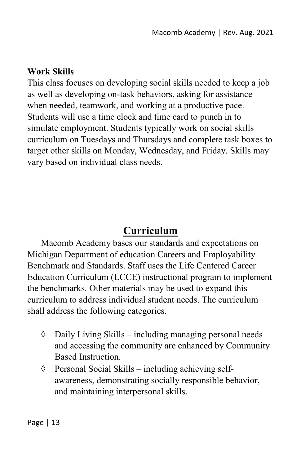#### **Work Skills**

This class focuses on developing social skills needed to keep a job as well as developing on-task behaviors, asking for assistance when needed, teamwork, and working at a productive pace. Students will use a time clock and time card to punch in to simulate employment. Students typically work on social skills curriculum on Tuesdays and Thursdays and complete task boxes to target other skills on Monday, Wednesday, and Friday. Skills may vary based on individual class needs.

# **Curriculum**

Macomb Academy bases our standards and expectations on Michigan Department of education Careers and Employability Benchmark and Standards. Staff uses the Life Centered Career Education Curriculum (LCCE) instructional program to implement the benchmarks. Other materials may be used to expand this curriculum to address individual student needs. The curriculum shall address the following categories.

- ◊ Daily Living Skills including managing personal needs and accessing the community are enhanced by Community Based Instruction.
- ◊ Personal Social Skills including achieving selfawareness, demonstrating socially responsible behavior, and maintaining interpersonal skills.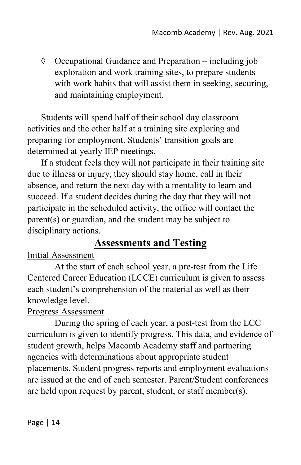◊ Occupational Guidance and Preparation – including job exploration and work training sites, to prepare students with work habits that will assist them in seeking, securing, and maintaining employment.

Students will spend half of their school day classroom activities and the other half at a training site exploring and preparing for employment. Students' transition goals are determined at yearly IEP meetings.

If a student feels they will not participate in their training site due to illness or injury, they should stay home, call in their absence, and return the next day with a mentality to learn and succeed. If a student decides during the day that they will not participate in the scheduled activity, the office will contact the parent(s) or guardian, and the student may be subject to disciplinary actions.

# **Assessments and Testing**

#### Initial Assessment

At the start of each school year, a pre-test from the Life Centered Career Education (LCCE) curriculum is given to assess each student's comprehension of the material as well as their knowledge level.

#### Progress Assessment

During the spring of each year, a post-test from the LCC curriculum is given to identify progress. This data, and evidence of student growth, helps Macomb Academy staff and partnering agencies with determinations about appropriate student placements. Student progress reports and employment evaluations are issued at the end of each semester. Parent/Student conferences are held upon request by parent, student, or staff member(s).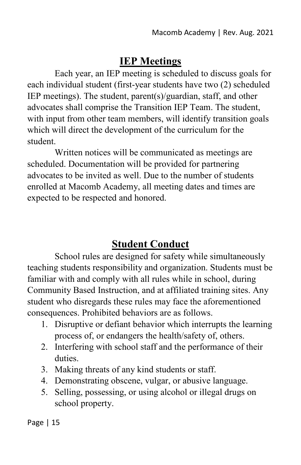# **IEP Meetings**

Each year, an IEP meeting is scheduled to discuss goals for each individual student (first-year students have two (2) scheduled IEP meetings). The student, parent(s)/guardian, staff, and other advocates shall comprise the Transition IEP Team. The student, with input from other team members, will identify transition goals which will direct the development of the curriculum for the student.

Written notices will be communicated as meetings are scheduled. Documentation will be provided for partnering advocates to be invited as well. Due to the number of students enrolled at Macomb Academy, all meeting dates and times are expected to be respected and honored.

# **Student Conduct**

School rules are designed for safety while simultaneously teaching students responsibility and organization. Students must be familiar with and comply with all rules while in school, during Community Based Instruction, and at affiliated training sites. Any student who disregards these rules may face the aforementioned consequences. Prohibited behaviors are as follows.

- 1. Disruptive or defiant behavior which interrupts the learning process of, or endangers the health/safety of, others.
- 2. Interfering with school staff and the performance of their duties.
- 3. Making threats of any kind students or staff.
- 4. Demonstrating obscene, vulgar, or abusive language.
- 5. Selling, possessing, or using alcohol or illegal drugs on school property.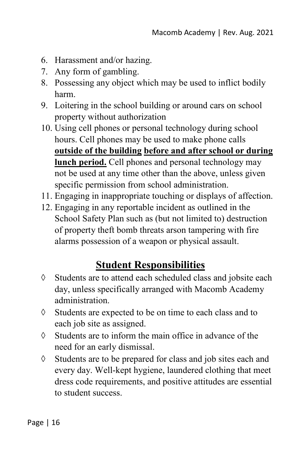- 6. Harassment and/or hazing.
- 7. Any form of gambling.
- 8. Possessing any object which may be used to inflict bodily harm.
- 9. Loitering in the school building or around cars on school property without authorization
- 10. Using cell phones or personal technology during school hours. Cell phones may be used to make phone calls **outside of the building before and after school or during lunch period.** Cell phones and personal technology may not be used at any time other than the above, unless given specific permission from school administration.
- 11. Engaging in inappropriate touching or displays of affection.
- 12. Engaging in any reportable incident as outlined in the School Safety Plan such as (but not limited to) destruction of property theft bomb threats arson tampering with fire alarms possession of a weapon or physical assault.

# **Student Responsibilities**

- ◊ Students are to attend each scheduled class and jobsite each day, unless specifically arranged with Macomb Academy administration.
- ◊ Students are expected to be on time to each class and to each job site as assigned.
- ◊ Students are to inform the main office in advance of the need for an early dismissal.
- ◊ Students are to be prepared for class and job sites each and every day. Well-kept hygiene, laundered clothing that meet dress code requirements, and positive attitudes are essential to student success.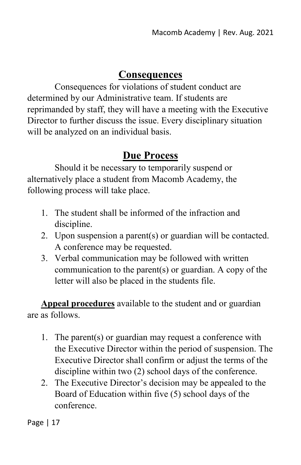### **Consequences**

Consequences for violations of student conduct are determined by our Administrative team. If students are reprimanded by staff, they will have a meeting with the Executive Director to further discuss the issue. Every disciplinary situation will be analyzed on an individual basis.

# **Due Process**

Should it be necessary to temporarily suspend or alternatively place a student from Macomb Academy, the following process will take place.

- 1. The student shall be informed of the infraction and discipline.
- 2. Upon suspension a parent(s) or guardian will be contacted. A conference may be requested.
- 3. Verbal communication may be followed with written communication to the parent(s) or guardian. A copy of the letter will also be placed in the students file.

**Appeal procedures** available to the student and or guardian are as follows.

- 1. The parent(s) or guardian may request a conference with the Executive Director within the period of suspension. The Executive Director shall confirm or adjust the terms of the discipline within two (2) school days of the conference.
- 2. The Executive Director's decision may be appealed to the Board of Education within five (5) school days of the conference.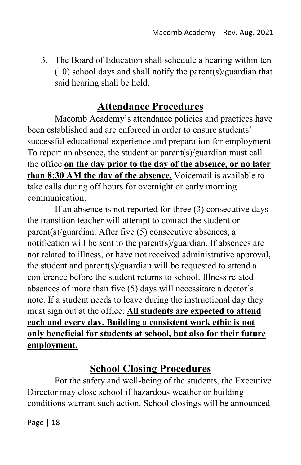3. The Board of Education shall schedule a hearing within ten (10) school days and shall notify the parent(s)/guardian that said hearing shall be held.

# **Attendance Procedures**

Macomb Academy's attendance policies and practices have been established and are enforced in order to ensure students' successful educational experience and preparation for employment. To report an absence, the student or parent(s)/guardian must call the office **on the day prior to the day of the absence, or no later than 8:30 AM the day of the absence.** Voicemail is available to take calls during off hours for overnight or early morning communication.

If an absence is not reported for three (3) consecutive days the transition teacher will attempt to contact the student or parent(s)/guardian. After five (5) consecutive absences, a notification will be sent to the parent(s)/guardian. If absences are not related to illness, or have not received administrative approval, the student and parent(s)/guardian will be requested to attend a conference before the student returns to school. Illness related absences of more than five (5) days will necessitate a doctor's note. If a student needs to leave during the instructional day they must sign out at the office. **All students are expected to attend each and every day. Building a consistent work ethic is not only beneficial for students at school, but also for their future employment.**

# **School Closing Procedures**

For the safety and well-being of the students, the Executive Director may close school if hazardous weather or building conditions warrant such action. School closings will be announced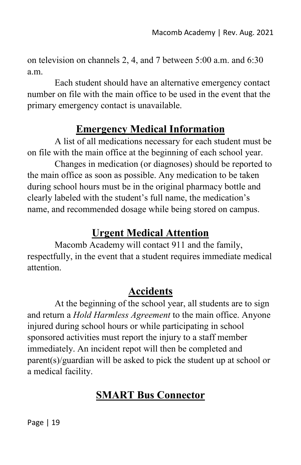on television on channels 2, 4, and 7 between 5:00 a.m. and 6:30 a.m.

Each student should have an alternative emergency contact number on file with the main office to be used in the event that the primary emergency contact is unavailable.

# **Emergency Medical Information**

A list of all medications necessary for each student must be on file with the main office at the beginning of each school year.

Changes in medication (or diagnoses) should be reported to the main office as soon as possible. Any medication to be taken during school hours must be in the original pharmacy bottle and clearly labeled with the student's full name, the medication's name, and recommended dosage while being stored on campus.

# **Urgent Medical Attention**

Macomb Academy will contact 911 and the family, respectfully, in the event that a student requires immediate medical attention.

# **Accidents**

At the beginning of the school year, all students are to sign and return a *Hold Harmless Agreement* to the main office. Anyone injured during school hours or while participating in school sponsored activities must report the injury to a staff member immediately. An incident repot will then be completed and parent(s)/guardian will be asked to pick the student up at school or a medical facility.

# **SMART Bus Connector**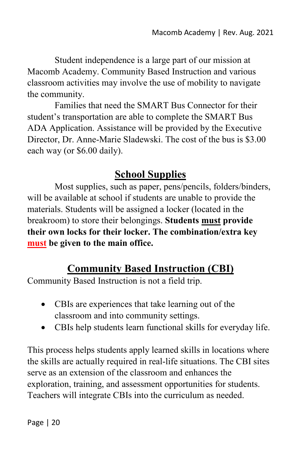Student independence is a large part of our mission at Macomb Academy. Community Based Instruction and various classroom activities may involve the use of mobility to navigate the community.

Families that need the SMART Bus Connector for their student's transportation are able to complete the SMART Bus ADA Application. Assistance will be provided by the Executive Director, Dr. Anne-Marie Sladewski. The cost of the bus is \$3.00 each way (or \$6.00 daily).

# **School Supplies**

Most supplies, such as paper, pens/pencils, folders/binders, will be available at school if students are unable to provide the materials. Students will be assigned a locker (located in the breakroom) to store their belongings. **Students must provide their own locks for their locker. The combination/extra key must be given to the main office.** 

# **Community Based Instruction (CBI)**

Community Based Instruction is not a field trip.

- CBIs are experiences that take learning out of the classroom and into community settings.
- CBIs help students learn functional skills for everyday life.

This process helps students apply learned skills in locations where the skills are actually required in real-life situations. The CBI sites serve as an extension of the classroom and enhances the exploration, training, and assessment opportunities for students. Teachers will integrate CBIs into the curriculum as needed.